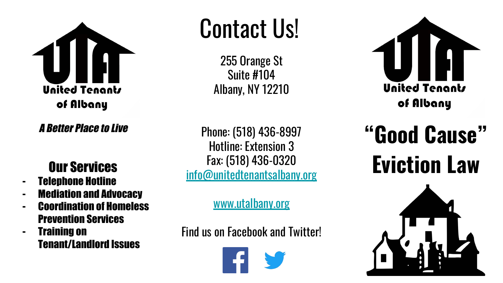

A Better Place to Live

### Our Services

- Telephone Hotline
- Mediation and Advocacy
- Coordination of Homeless Prevention Services
- Training on Tenant/Landlord Issues

# Contact Us!

255 Orange St Suite #104 Albany, NY 12210

Phone: (518) 436-8997 Hotline: Extension 3 Fax: (518) 436-0320 info@unitedtenantsalbany.org

#### www.utalbany.org

Find us on Facebook and Twitter!





**"Good Cause" Eviction Law**